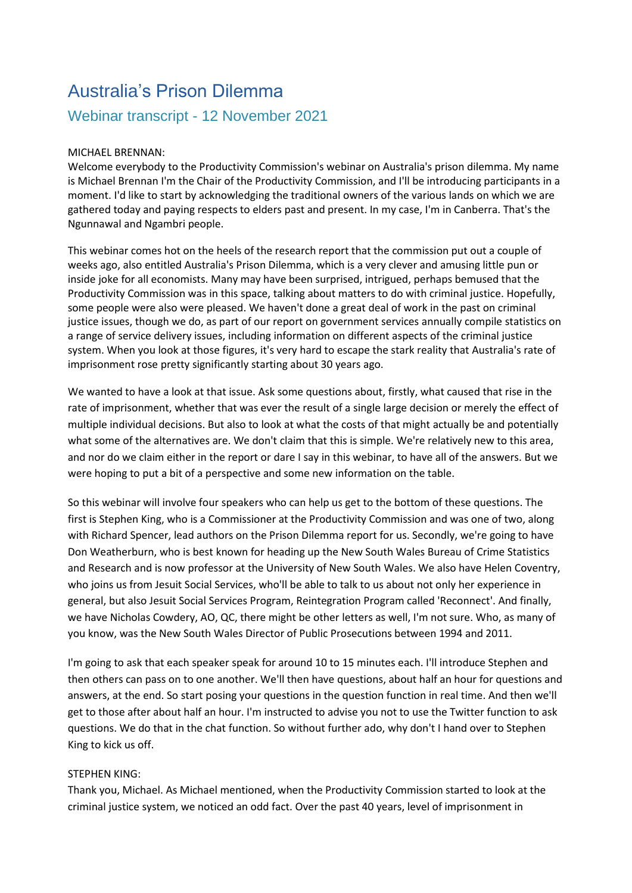## Australia's Prison Dilemma

## Webinar transcript - 12 November 2021

## MICHAEL BRENNAN:

Welcome everybody to the Productivity Commission's webinar on Australia's prison dilemma. My name is Michael Brennan I'm the Chair of the Productivity Commission, and I'll be introducing participants in a moment. I'd like to start by acknowledging the traditional owners of the various lands on which we are gathered today and paying respects to elders past and present. In my case, I'm in Canberra. That's the Ngunnawal and Ngambri people.

This webinar comes hot on the heels of the research report that the commission put out a couple of weeks ago, also entitled Australia's Prison Dilemma, which is a very clever and amusing little pun or inside joke for all economists. Many may have been surprised, intrigued, perhaps bemused that the Productivity Commission was in this space, talking about matters to do with criminal justice. Hopefully, some people were also were pleased. We haven't done a great deal of work in the past on criminal justice issues, though we do, as part of our report on government services annually compile statistics on a range of service delivery issues, including information on different aspects of the criminal justice system. When you look at those figures, it's very hard to escape the stark reality that Australia's rate of imprisonment rose pretty significantly starting about 30 years ago.

We wanted to have a look at that issue. Ask some questions about, firstly, what caused that rise in the rate of imprisonment, whether that was ever the result of a single large decision or merely the effect of multiple individual decisions. But also to look at what the costs of that might actually be and potentially what some of the alternatives are. We don't claim that this is simple. We're relatively new to this area, and nor do we claim either in the report or dare I say in this webinar, to have all of the answers. But we were hoping to put a bit of a perspective and some new information on the table.

So this webinar will involve four speakers who can help us get to the bottom of these questions. The first is Stephen King, who is a Commissioner at the Productivity Commission and was one of two, along with Richard Spencer, lead authors on the Prison Dilemma report for us. Secondly, we're going to have Don Weatherburn, who is best known for heading up the New South Wales Bureau of Crime Statistics and Research and is now professor at the University of New South Wales. We also have Helen Coventry, who joins us from Jesuit Social Services, who'll be able to talk to us about not only her experience in general, but also Jesuit Social Services Program, Reintegration Program called 'Reconnect'. And finally, we have Nicholas Cowdery, AO, QC, there might be other letters as well, I'm not sure. Who, as many of you know, was the New South Wales Director of Public Prosecutions between 1994 and 2011.

I'm going to ask that each speaker speak for around 10 to 15 minutes each. I'll introduce Stephen and then others can pass on to one another. We'll then have questions, about half an hour for questions and answers, at the end. So start posing your questions in the question function in real time. And then we'll get to those after about half an hour. I'm instructed to advise you not to use the Twitter function to ask questions. We do that in the chat function. So without further ado, why don't I hand over to Stephen King to kick us off.

## STEPHEN KING:

Thank you, Michael. As Michael mentioned, when the Productivity Commission started to look at the criminal justice system, we noticed an odd fact. Over the past 40 years, level of imprisonment in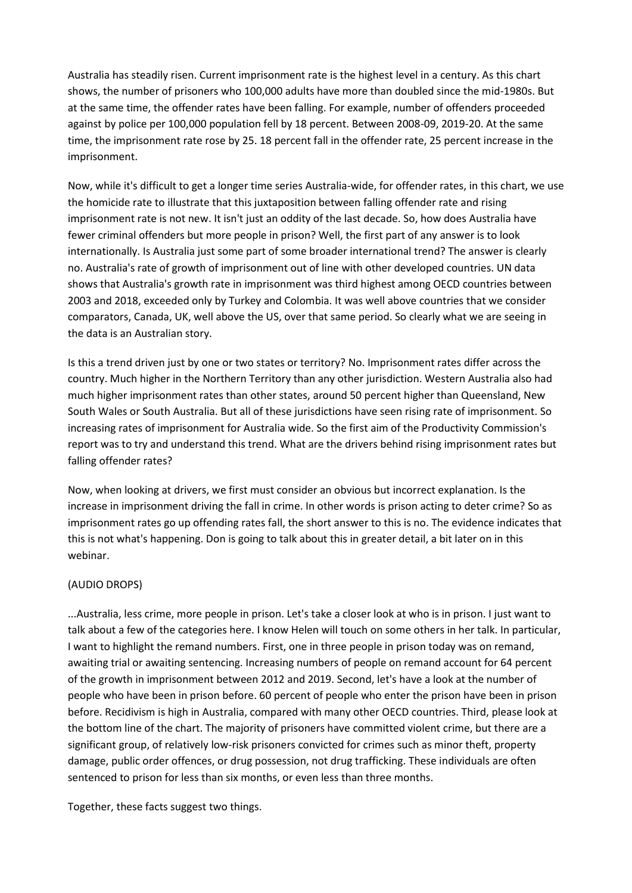Australia has steadily risen. Current imprisonment rate is the highest level in a century. As this chart shows, the number of prisoners who 100,000 adults have more than doubled since the mid-1980s. But at the same time, the offender rates have been falling. For example, number of offenders proceeded against by police per 100,000 population fell by 18 percent. Between 2008-09, 2019-20. At the same time, the imprisonment rate rose by 25. 18 percent fall in the offender rate, 25 percent increase in the imprisonment.

Now, while it's difficult to get a longer time series Australia-wide, for offender rates, in this chart, we use the homicide rate to illustrate that this juxtaposition between falling offender rate and rising imprisonment rate is not new. It isn't just an oddity of the last decade. So, how does Australia have fewer criminal offenders but more people in prison? Well, the first part of any answer is to look internationally. Is Australia just some part of some broader international trend? The answer is clearly no. Australia's rate of growth of imprisonment out of line with other developed countries. UN data shows that Australia's growth rate in imprisonment was third highest among OECD countries between 2003 and 2018, exceeded only by Turkey and Colombia. It was well above countries that we consider comparators, Canada, UK, well above the US, over that same period. So clearly what we are seeing in the data is an Australian story.

Is this a trend driven just by one or two states or territory? No. Imprisonment rates differ across the country. Much higher in the Northern Territory than any other jurisdiction. Western Australia also had much higher imprisonment rates than other states, around 50 percent higher than Queensland, New South Wales or South Australia. But all of these jurisdictions have seen rising rate of imprisonment. So increasing rates of imprisonment for Australia wide. So the first aim of the Productivity Commission's report was to try and understand this trend. What are the drivers behind rising imprisonment rates but falling offender rates?

Now, when looking at drivers, we first must consider an obvious but incorrect explanation. Is the increase in imprisonment driving the fall in crime. In other words is prison acting to deter crime? So as imprisonment rates go up offending rates fall, the short answer to this is no. The evidence indicates that this is not what's happening. Don is going to talk about this in greater detail, a bit later on in this webinar.

## (AUDIO DROPS)

...Australia, less crime, more people in prison. Let's take a closer look at who is in prison. I just want to talk about a few of the categories here. I know Helen will touch on some others in her talk. In particular, I want to highlight the remand numbers. First, one in three people in prison today was on remand, awaiting trial or awaiting sentencing. Increasing numbers of people on remand account for 64 percent of the growth in imprisonment between 2012 and 2019. Second, let's have a look at the number of people who have been in prison before. 60 percent of people who enter the prison have been in prison before. Recidivism is high in Australia, compared with many other OECD countries. Third, please look at the bottom line of the chart. The majority of prisoners have committed violent crime, but there are a significant group, of relatively low-risk prisoners convicted for crimes such as minor theft, property damage, public order offences, or drug possession, not drug trafficking. These individuals are often sentenced to prison for less than six months, or even less than three months.

Together, these facts suggest two things.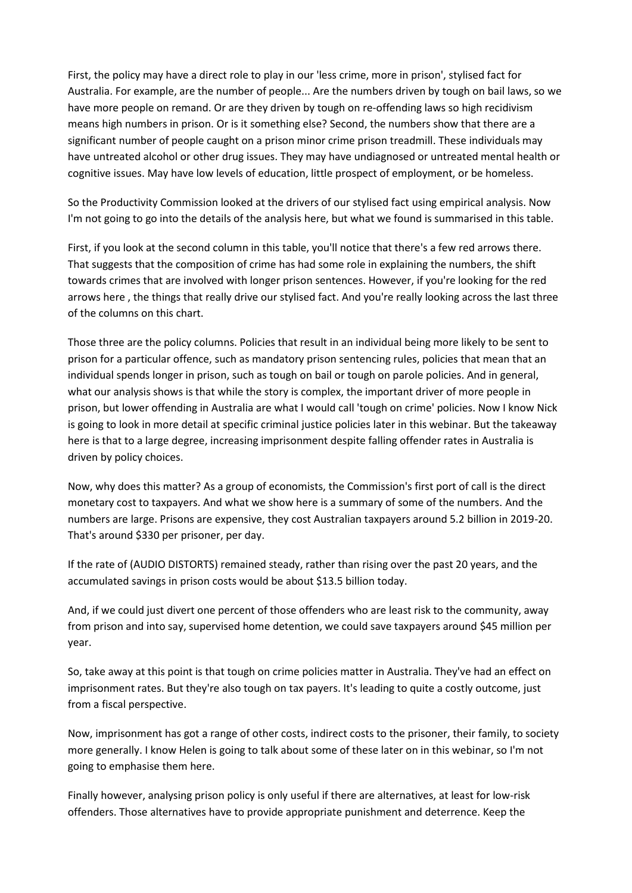First, the policy may have a direct role to play in our 'less crime, more in prison', stylised fact for Australia. For example, are the number of people... Are the numbers driven by tough on bail laws, so we have more people on remand. Or are they driven by tough on re-offending laws so high recidivism means high numbers in prison. Or is it something else? Second, the numbers show that there are a significant number of people caught on a prison minor crime prison treadmill. These individuals may have untreated alcohol or other drug issues. They may have undiagnosed or untreated mental health or cognitive issues. May have low levels of education, little prospect of employment, or be homeless.

So the Productivity Commission looked at the drivers of our stylised fact using empirical analysis. Now I'm not going to go into the details of the analysis here, but what we found is summarised in this table.

First, if you look at the second column in this table, you'll notice that there's a few red arrows there. That suggests that the composition of crime has had some role in explaining the numbers, the shift towards crimes that are involved with longer prison sentences. However, if you're looking for the red arrows here , the things that really drive our stylised fact. And you're really looking across the last three of the columns on this chart.

Those three are the policy columns. Policies that result in an individual being more likely to be sent to prison for a particular offence, such as mandatory prison sentencing rules, policies that mean that an individual spends longer in prison, such as tough on bail or tough on parole policies. And in general, what our analysis shows is that while the story is complex, the important driver of more people in prison, but lower offending in Australia are what I would call 'tough on crime' policies. Now I know Nick is going to look in more detail at specific criminal justice policies later in this webinar. But the takeaway here is that to a large degree, increasing imprisonment despite falling offender rates in Australia is driven by policy choices.

Now, why does this matter? As a group of economists, the Commission's first port of call is the direct monetary cost to taxpayers. And what we show here is a summary of some of the numbers. And the numbers are large. Prisons are expensive, they cost Australian taxpayers around 5.2 billion in 2019-20. That's around \$330 per prisoner, per day.

If the rate of (AUDIO DISTORTS) remained steady, rather than rising over the past 20 years, and the accumulated savings in prison costs would be about \$13.5 billion today.

And, if we could just divert one percent of those offenders who are least risk to the community, away from prison and into say, supervised home detention, we could save taxpayers around \$45 million per year.

So, take away at this point is that tough on crime policies matter in Australia. They've had an effect on imprisonment rates. But they're also tough on tax payers. It's leading to quite a costly outcome, just from a fiscal perspective.

Now, imprisonment has got a range of other costs, indirect costs to the prisoner, their family, to society more generally. I know Helen is going to talk about some of these later on in this webinar, so I'm not going to emphasise them here.

Finally however, analysing prison policy is only useful if there are alternatives, at least for low-risk offenders. Those alternatives have to provide appropriate punishment and deterrence. Keep the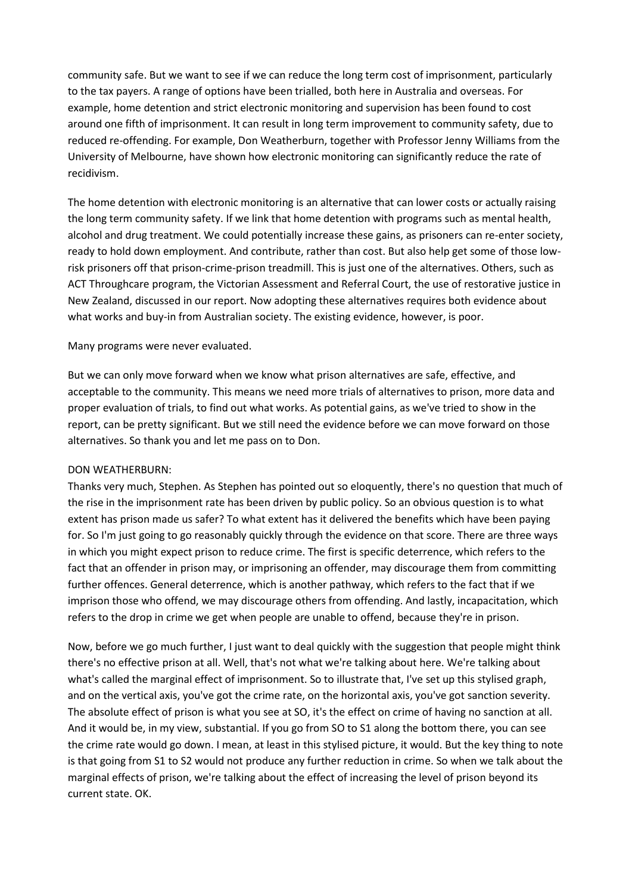community safe. But we want to see if we can reduce the long term cost of imprisonment, particularly to the tax payers. A range of options have been trialled, both here in Australia and overseas. For example, home detention and strict electronic monitoring and supervision has been found to cost around one fifth of imprisonment. It can result in long term improvement to community safety, due to reduced re-offending. For example, Don Weatherburn, together with Professor Jenny Williams from the University of Melbourne, have shown how electronic monitoring can significantly reduce the rate of recidivism.

The home detention with electronic monitoring is an alternative that can lower costs or actually raising the long term community safety. If we link that home detention with programs such as mental health, alcohol and drug treatment. We could potentially increase these gains, as prisoners can re-enter society, ready to hold down employment. And contribute, rather than cost. But also help get some of those lowrisk prisoners off that prison-crime-prison treadmill. This is just one of the alternatives. Others, such as ACT Throughcare program, the Victorian Assessment and Referral Court, the use of restorative justice in New Zealand, discussed in our report. Now adopting these alternatives requires both evidence about what works and buy-in from Australian society. The existing evidence, however, is poor.

#### Many programs were never evaluated.

But we can only move forward when we know what prison alternatives are safe, effective, and acceptable to the community. This means we need more trials of alternatives to prison, more data and proper evaluation of trials, to find out what works. As potential gains, as we've tried to show in the report, can be pretty significant. But we still need the evidence before we can move forward on those alternatives. So thank you and let me pass on to Don.

#### DON WEATHERBURN:

Thanks very much, Stephen. As Stephen has pointed out so eloquently, there's no question that much of the rise in the imprisonment rate has been driven by public policy. So an obvious question is to what extent has prison made us safer? To what extent has it delivered the benefits which have been paying for. So I'm just going to go reasonably quickly through the evidence on that score. There are three ways in which you might expect prison to reduce crime. The first is specific deterrence, which refers to the fact that an offender in prison may, or imprisoning an offender, may discourage them from committing further offences. General deterrence, which is another pathway, which refers to the fact that if we imprison those who offend, we may discourage others from offending. And lastly, incapacitation, which refers to the drop in crime we get when people are unable to offend, because they're in prison.

Now, before we go much further, I just want to deal quickly with the suggestion that people might think there's no effective prison at all. Well, that's not what we're talking about here. We're talking about what's called the marginal effect of imprisonment. So to illustrate that, I've set up this stylised graph, and on the vertical axis, you've got the crime rate, on the horizontal axis, you've got sanction severity. The absolute effect of prison is what you see at SO, it's the effect on crime of having no sanction at all. And it would be, in my view, substantial. If you go from SO to S1 along the bottom there, you can see the crime rate would go down. I mean, at least in this stylised picture, it would. But the key thing to note is that going from S1 to S2 would not produce any further reduction in crime. So when we talk about the marginal effects of prison, we're talking about the effect of increasing the level of prison beyond its current state. OK.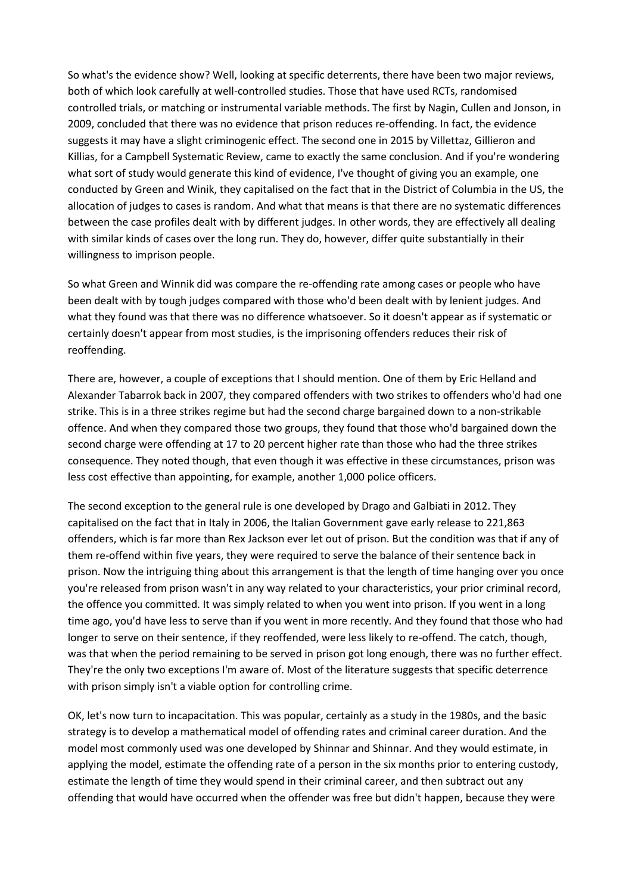So what's the evidence show? Well, looking at specific deterrents, there have been two major reviews, both of which look carefully at well-controlled studies. Those that have used RCTs, randomised controlled trials, or matching or instrumental variable methods. The first by Nagin, Cullen and Jonson, in 2009, concluded that there was no evidence that prison reduces re-offending. In fact, the evidence suggests it may have a slight criminogenic effect. The second one in 2015 by Villettaz, Gillieron and Killias, for a Campbell Systematic Review, came to exactly the same conclusion. And if you're wondering what sort of study would generate this kind of evidence, I've thought of giving you an example, one conducted by Green and Winik, they capitalised on the fact that in the District of Columbia in the US, the allocation of judges to cases is random. And what that means is that there are no systematic differences between the case profiles dealt with by different judges. In other words, they are effectively all dealing with similar kinds of cases over the long run. They do, however, differ quite substantially in their willingness to imprison people.

So what Green and Winnik did was compare the re-offending rate among cases or people who have been dealt with by tough judges compared with those who'd been dealt with by lenient judges. And what they found was that there was no difference whatsoever. So it doesn't appear as if systematic or certainly doesn't appear from most studies, is the imprisoning offenders reduces their risk of reoffending.

There are, however, a couple of exceptions that I should mention. One of them by Eric Helland and Alexander Tabarrok back in 2007, they compared offenders with two strikes to offenders who'd had one strike. This is in a three strikes regime but had the second charge bargained down to a non-strikable offence. And when they compared those two groups, they found that those who'd bargained down the second charge were offending at 17 to 20 percent higher rate than those who had the three strikes consequence. They noted though, that even though it was effective in these circumstances, prison was less cost effective than appointing, for example, another 1,000 police officers.

The second exception to the general rule is one developed by Drago and Galbiati in 2012. They capitalised on the fact that in Italy in 2006, the Italian Government gave early release to 221,863 offenders, which is far more than Rex Jackson ever let out of prison. But the condition was that if any of them re-offend within five years, they were required to serve the balance of their sentence back in prison. Now the intriguing thing about this arrangement is that the length of time hanging over you once you're released from prison wasn't in any way related to your characteristics, your prior criminal record, the offence you committed. It was simply related to when you went into prison. If you went in a long time ago, you'd have less to serve than if you went in more recently. And they found that those who had longer to serve on their sentence, if they reoffended, were less likely to re-offend. The catch, though, was that when the period remaining to be served in prison got long enough, there was no further effect. They're the only two exceptions I'm aware of. Most of the literature suggests that specific deterrence with prison simply isn't a viable option for controlling crime.

OK, let's now turn to incapacitation. This was popular, certainly as a study in the 1980s, and the basic strategy is to develop a mathematical model of offending rates and criminal career duration. And the model most commonly used was one developed by Shinnar and Shinnar. And they would estimate, in applying the model, estimate the offending rate of a person in the six months prior to entering custody, estimate the length of time they would spend in their criminal career, and then subtract out any offending that would have occurred when the offender was free but didn't happen, because they were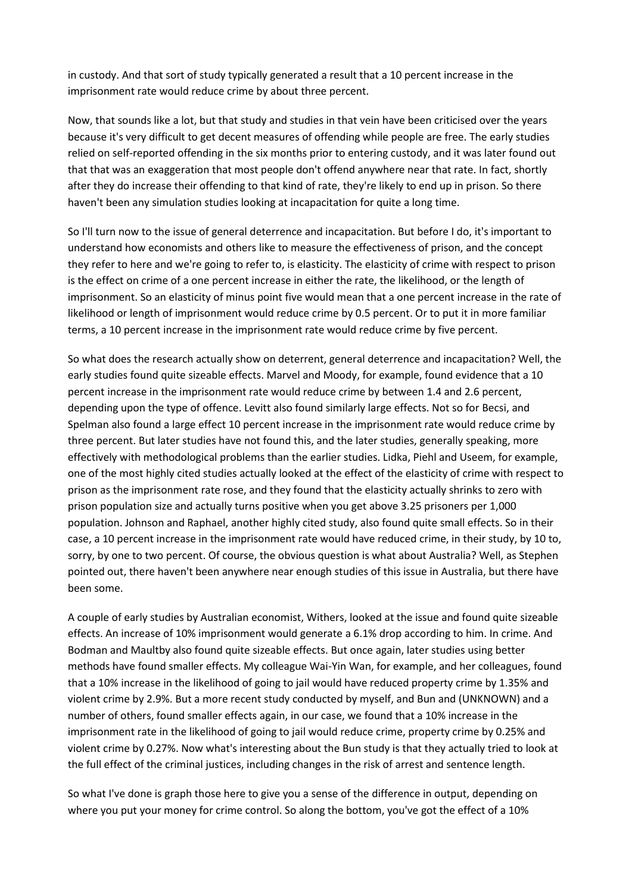in custody. And that sort of study typically generated a result that a 10 percent increase in the imprisonment rate would reduce crime by about three percent.

Now, that sounds like a lot, but that study and studies in that vein have been criticised over the years because it's very difficult to get decent measures of offending while people are free. The early studies relied on self-reported offending in the six months prior to entering custody, and it was later found out that that was an exaggeration that most people don't offend anywhere near that rate. In fact, shortly after they do increase their offending to that kind of rate, they're likely to end up in prison. So there haven't been any simulation studies looking at incapacitation for quite a long time.

So I'll turn now to the issue of general deterrence and incapacitation. But before I do, it's important to understand how economists and others like to measure the effectiveness of prison, and the concept they refer to here and we're going to refer to, is elasticity. The elasticity of crime with respect to prison is the effect on crime of a one percent increase in either the rate, the likelihood, or the length of imprisonment. So an elasticity of minus point five would mean that a one percent increase in the rate of likelihood or length of imprisonment would reduce crime by 0.5 percent. Or to put it in more familiar terms, a 10 percent increase in the imprisonment rate would reduce crime by five percent.

So what does the research actually show on deterrent, general deterrence and incapacitation? Well, the early studies found quite sizeable effects. Marvel and Moody, for example, found evidence that a 10 percent increase in the imprisonment rate would reduce crime by between 1.4 and 2.6 percent, depending upon the type of offence. Levitt also found similarly large effects. Not so for Becsi, and Spelman also found a large effect 10 percent increase in the imprisonment rate would reduce crime by three percent. But later studies have not found this, and the later studies, generally speaking, more effectively with methodological problems than the earlier studies. Lidka, Piehl and Useem, for example, one of the most highly cited studies actually looked at the effect of the elasticity of crime with respect to prison as the imprisonment rate rose, and they found that the elasticity actually shrinks to zero with prison population size and actually turns positive when you get above 3.25 prisoners per 1,000 population. Johnson and Raphael, another highly cited study, also found quite small effects. So in their case, a 10 percent increase in the imprisonment rate would have reduced crime, in their study, by 10 to, sorry, by one to two percent. Of course, the obvious question is what about Australia? Well, as Stephen pointed out, there haven't been anywhere near enough studies of this issue in Australia, but there have been some.

A couple of early studies by Australian economist, Withers, looked at the issue and found quite sizeable effects. An increase of 10% imprisonment would generate a 6.1% drop according to him. In crime. And Bodman and Maultby also found quite sizeable effects. But once again, later studies using better methods have found smaller effects. My colleague Wai-Yin Wan, for example, and her colleagues, found that a 10% increase in the likelihood of going to jail would have reduced property crime by 1.35% and violent crime by 2.9%. But a more recent study conducted by myself, and Bun and (UNKNOWN) and a number of others, found smaller effects again, in our case, we found that a 10% increase in the imprisonment rate in the likelihood of going to jail would reduce crime, property crime by 0.25% and violent crime by 0.27%. Now what's interesting about the Bun study is that they actually tried to look at the full effect of the criminal justices, including changes in the risk of arrest and sentence length.

So what I've done is graph those here to give you a sense of the difference in output, depending on where you put your money for crime control. So along the bottom, you've got the effect of a 10%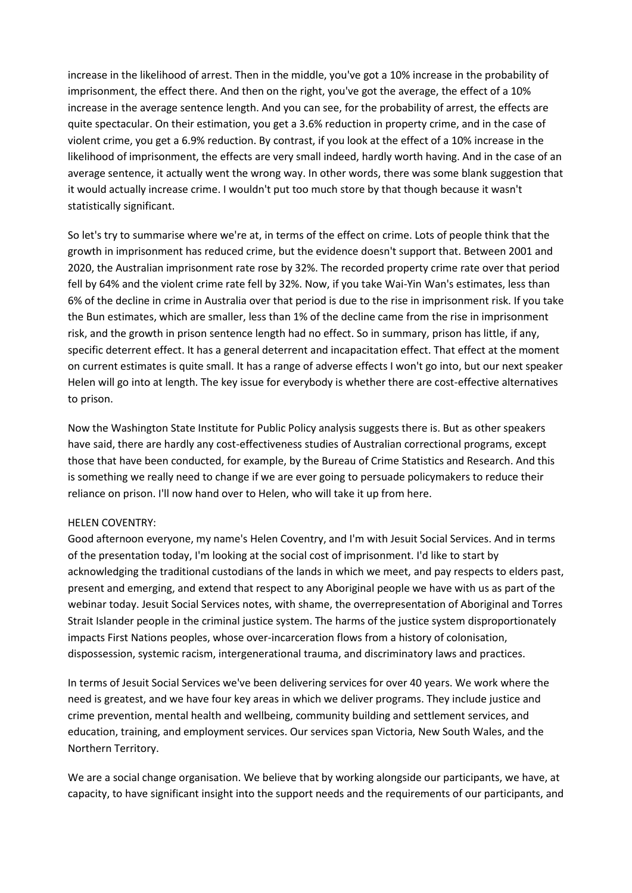increase in the likelihood of arrest. Then in the middle, you've got a 10% increase in the probability of imprisonment, the effect there. And then on the right, you've got the average, the effect of a 10% increase in the average sentence length. And you can see, for the probability of arrest, the effects are quite spectacular. On their estimation, you get a 3.6% reduction in property crime, and in the case of violent crime, you get a 6.9% reduction. By contrast, if you look at the effect of a 10% increase in the likelihood of imprisonment, the effects are very small indeed, hardly worth having. And in the case of an average sentence, it actually went the wrong way. In other words, there was some blank suggestion that it would actually increase crime. I wouldn't put too much store by that though because it wasn't statistically significant.

So let's try to summarise where we're at, in terms of the effect on crime. Lots of people think that the growth in imprisonment has reduced crime, but the evidence doesn't support that. Between 2001 and 2020, the Australian imprisonment rate rose by 32%. The recorded property crime rate over that period fell by 64% and the violent crime rate fell by 32%. Now, if you take Wai-Yin Wan's estimates, less than 6% of the decline in crime in Australia over that period is due to the rise in imprisonment risk. If you take the Bun estimates, which are smaller, less than 1% of the decline came from the rise in imprisonment risk, and the growth in prison sentence length had no effect. So in summary, prison has little, if any, specific deterrent effect. It has a general deterrent and incapacitation effect. That effect at the moment on current estimates is quite small. It has a range of adverse effects I won't go into, but our next speaker Helen will go into at length. The key issue for everybody is whether there are cost-effective alternatives to prison.

Now the Washington State Institute for Public Policy analysis suggests there is. But as other speakers have said, there are hardly any cost-effectiveness studies of Australian correctional programs, except those that have been conducted, for example, by the Bureau of Crime Statistics and Research. And this is something we really need to change if we are ever going to persuade policymakers to reduce their reliance on prison. I'll now hand over to Helen, who will take it up from here.

#### HELEN COVENTRY:

Good afternoon everyone, my name's Helen Coventry, and I'm with Jesuit Social Services. And in terms of the presentation today, I'm looking at the social cost of imprisonment. I'd like to start by acknowledging the traditional custodians of the lands in which we meet, and pay respects to elders past, present and emerging, and extend that respect to any Aboriginal people we have with us as part of the webinar today. Jesuit Social Services notes, with shame, the overrepresentation of Aboriginal and Torres Strait Islander people in the criminal justice system. The harms of the justice system disproportionately impacts First Nations peoples, whose over-incarceration flows from a history of colonisation, dispossession, systemic racism, intergenerational trauma, and discriminatory laws and practices.

In terms of Jesuit Social Services we've been delivering services for over 40 years. We work where the need is greatest, and we have four key areas in which we deliver programs. They include justice and crime prevention, mental health and wellbeing, community building and settlement services, and education, training, and employment services. Our services span Victoria, New South Wales, and the Northern Territory.

We are a social change organisation. We believe that by working alongside our participants, we have, at capacity, to have significant insight into the support needs and the requirements of our participants, and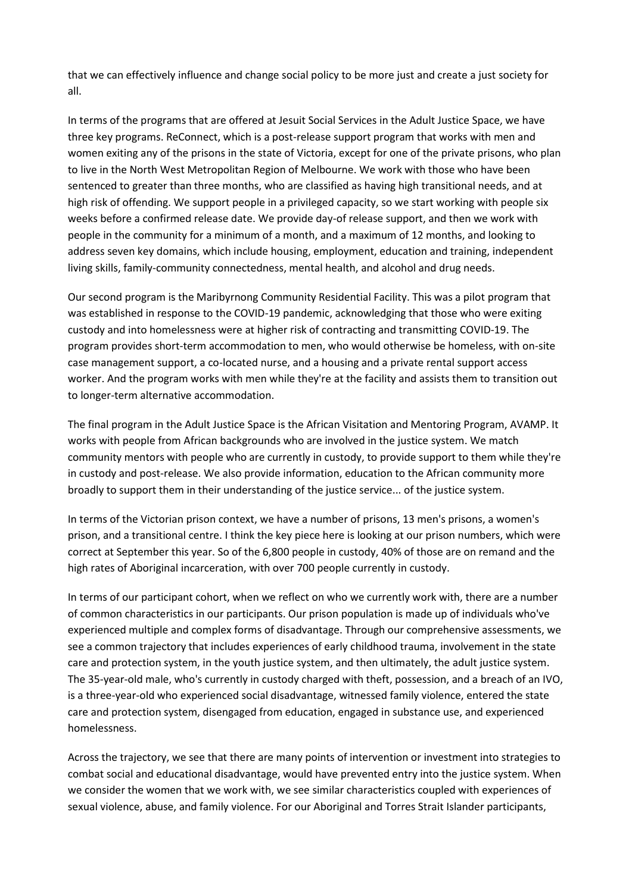that we can effectively influence and change social policy to be more just and create a just society for all.

In terms of the programs that are offered at Jesuit Social Services in the Adult Justice Space, we have three key programs. ReConnect, which is a post-release support program that works with men and women exiting any of the prisons in the state of Victoria, except for one of the private prisons, who plan to live in the North West Metropolitan Region of Melbourne. We work with those who have been sentenced to greater than three months, who are classified as having high transitional needs, and at high risk of offending. We support people in a privileged capacity, so we start working with people six weeks before a confirmed release date. We provide day-of release support, and then we work with people in the community for a minimum of a month, and a maximum of 12 months, and looking to address seven key domains, which include housing, employment, education and training, independent living skills, family-community connectedness, mental health, and alcohol and drug needs.

Our second program is the Maribyrnong Community Residential Facility. This was a pilot program that was established in response to the COVID-19 pandemic, acknowledging that those who were exiting custody and into homelessness were at higher risk of contracting and transmitting COVID-19. The program provides short-term accommodation to men, who would otherwise be homeless, with on-site case management support, a co-located nurse, and a housing and a private rental support access worker. And the program works with men while they're at the facility and assists them to transition out to longer-term alternative accommodation.

The final program in the Adult Justice Space is the African Visitation and Mentoring Program, AVAMP. It works with people from African backgrounds who are involved in the justice system. We match community mentors with people who are currently in custody, to provide support to them while they're in custody and post-release. We also provide information, education to the African community more broadly to support them in their understanding of the justice service... of the justice system.

In terms of the Victorian prison context, we have a number of prisons, 13 men's prisons, a women's prison, and a transitional centre. I think the key piece here is looking at our prison numbers, which were correct at September this year. So of the 6,800 people in custody, 40% of those are on remand and the high rates of Aboriginal incarceration, with over 700 people currently in custody.

In terms of our participant cohort, when we reflect on who we currently work with, there are a number of common characteristics in our participants. Our prison population is made up of individuals who've experienced multiple and complex forms of disadvantage. Through our comprehensive assessments, we see a common trajectory that includes experiences of early childhood trauma, involvement in the state care and protection system, in the youth justice system, and then ultimately, the adult justice system. The 35-year-old male, who's currently in custody charged with theft, possession, and a breach of an IVO, is a three-year-old who experienced social disadvantage, witnessed family violence, entered the state care and protection system, disengaged from education, engaged in substance use, and experienced homelessness.

Across the trajectory, we see that there are many points of intervention or investment into strategies to combat social and educational disadvantage, would have prevented entry into the justice system. When we consider the women that we work with, we see similar characteristics coupled with experiences of sexual violence, abuse, and family violence. For our Aboriginal and Torres Strait Islander participants,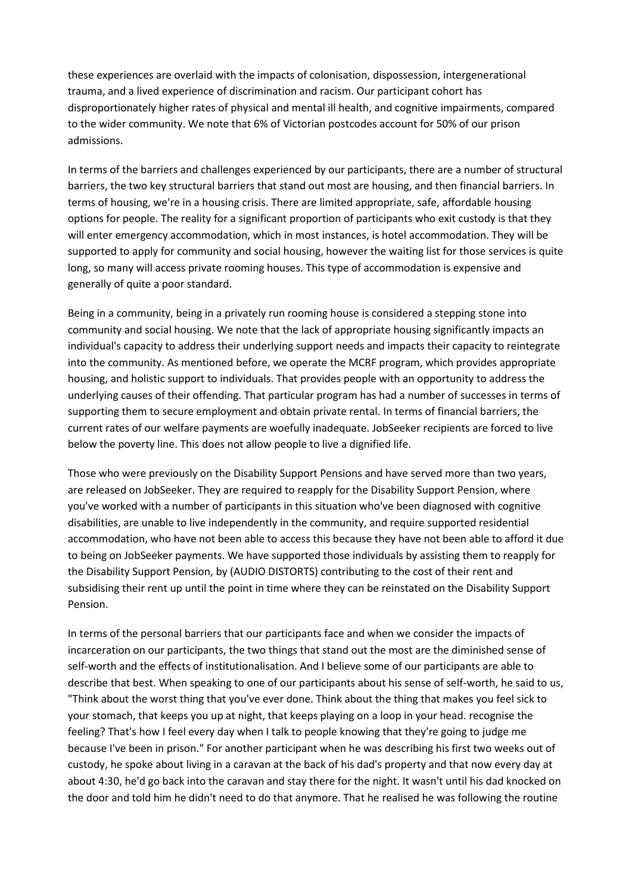these experiences are overlaid with the impacts of colonisation, dispossession, intergenerational trauma, and a lived experience of discrimination and racism. Our participant cohort has disproportionately higher rates of physical and mental ill health, and cognitive impairments, compared to the wider community. We note that 6% of Victorian postcodes account for 50% of our prison admissions.

In terms of the barriers and challenges experienced by our participants, there are a number of structural barriers, the two key structural barriers that stand out most are housing, and then financial barriers. In terms of housing, we're in a housing crisis. There are limited appropriate, safe, affordable housing options for people. The reality for a significant proportion of participants who exit custody is that they will enter emergency accommodation, which in most instances, is hotel accommodation. They will be supported to apply for community and social housing, however the waiting list for those services is quite long, so many will access private rooming houses. This type of accommodation is expensive and generally of quite a poor standard.

Being in a community, being in a privately run rooming house is considered a stepping stone into community and social housing. We note that the lack of appropriate housing significantly impacts an individual's capacity to address their underlying support needs and impacts their capacity to reintegrate into the community. As mentioned before, we operate the MCRF program, which provides appropriate housing, and holistic support to individuals. That provides people with an opportunity to address the underlying causes of their offending. That particular program has had a number of successes in terms of supporting them to secure employment and obtain private rental. In terms of financial barriers, the current rates of our welfare payments are woefully inadequate. JobSeeker recipients are forced to live below the poverty line. This does not allow people to live a dignified life.

Those who were previously on the Disability Support Pensions and have served more than two years, are released on JobSeeker. They are required to reapply for the Disability Support Pension, where you've worked with a number of participants in this situation who've been diagnosed with cognitive disabilities, are unable to live independently in the community, and require supported residential accommodation, who have not been able to access this because they have not been able to afford it due to being on JobSeeker payments. We have supported those individuals by assisting them to reapply for the Disability Support Pension, by (AUDIO DISTORTS) contributing to the cost of their rent and subsidising their rent up until the point in time where they can be reinstated on the Disability Support Pension.

In terms of the personal barriers that our participants face and when we consider the impacts of incarceration on our participants, the two things that stand out the most are the diminished sense of self-worth and the effects of institutionalisation. And I believe some of our participants are able to describe that best. When speaking to one of our participants about his sense of self-worth, he said to us, "Think about the worst thing that you've ever done. Think about the thing that makes you feel sick to your stomach, that keeps you up at night, that keeps playing on a loop in your head. recognise the feeling? That's how I feel every day when I talk to people knowing that they're going to judge me because I've been in prison." For another participant when he was describing his first two weeks out of custody, he spoke about living in a caravan at the back of his dad's property and that now every day at about 4:30, he'd go back into the caravan and stay there for the night. It wasn't until his dad knocked on the door and told him he didn't need to do that anymore. That he realised he was following the routine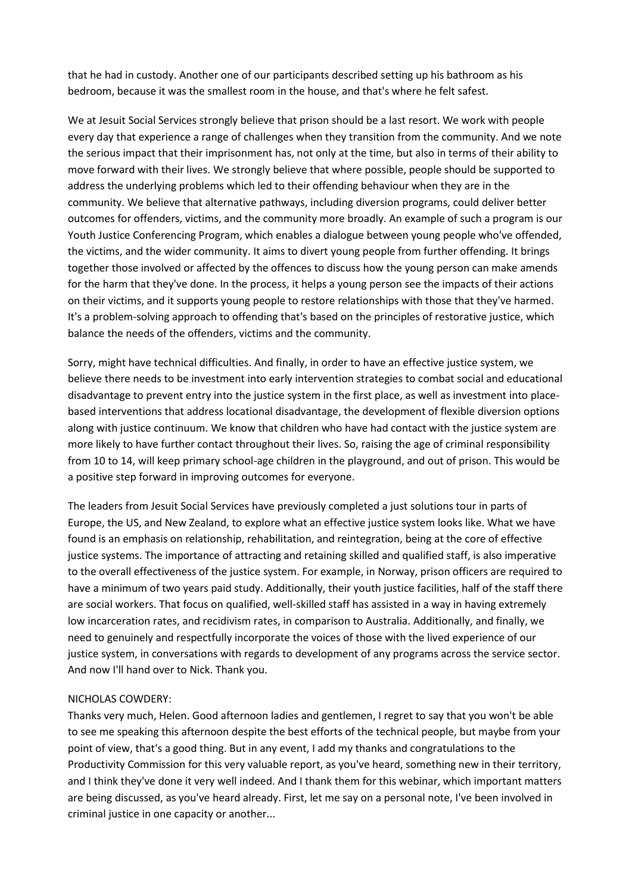that he had in custody. Another one of our participants described setting up his bathroom as his bedroom, because it was the smallest room in the house, and that's where he felt safest.

We at Jesuit Social Services strongly believe that prison should be a last resort. We work with people every day that experience a range of challenges when they transition from the community. And we note the serious impact that their imprisonment has, not only at the time, but also in terms of their ability to move forward with their lives. We strongly believe that where possible, people should be supported to address the underlying problems which led to their offending behaviour when they are in the community. We believe that alternative pathways, including diversion programs, could deliver better outcomes for offenders, victims, and the community more broadly. An example of such a program is our Youth Justice Conferencing Program, which enables a dialogue between young people who've offended, the victims, and the wider community. It aims to divert young people from further offending. It brings together those involved or affected by the offences to discuss how the young person can make amends for the harm that they've done. In the process, it helps a young person see the impacts of their actions on their victims, and it supports young people to restore relationships with those that they've harmed. It's a problem-solving approach to offending that's based on the principles of restorative justice, which balance the needs of the offenders, victims and the community.

Sorry, might have technical difficulties. And finally, in order to have an effective justice system, we believe there needs to be investment into early intervention strategies to combat social and educational disadvantage to prevent entry into the justice system in the first place, as well as investment into placebased interventions that address locational disadvantage, the development of flexible diversion options along with justice continuum. We know that children who have had contact with the justice system are more likely to have further contact throughout their lives. So, raising the age of criminal responsibility from 10 to 14, will keep primary school-age children in the playground, and out of prison. This would be a positive step forward in improving outcomes for everyone.

The leaders from Jesuit Social Services have previously completed a just solutions tour in parts of Europe, the US, and New Zealand, to explore what an effective justice system looks like. What we have found is an emphasis on relationship, rehabilitation, and reintegration, being at the core of effective justice systems. The importance of attracting and retaining skilled and qualified staff, is also imperative to the overall effectiveness of the justice system. For example, in Norway, prison officers are required to have a minimum of two years paid study. Additionally, their youth justice facilities, half of the staff there are social workers. That focus on qualified, well-skilled staff has assisted in a way in having extremely low incarceration rates, and recidivism rates, in comparison to Australia. Additionally, and finally, we need to genuinely and respectfully incorporate the voices of those with the lived experience of our justice system, in conversations with regards to development of any programs across the service sector. And now I'll hand over to Nick. Thank you.

#### NICHOLAS COWDERY:

Thanks very much, Helen. Good afternoon ladies and gentlemen, I regret to say that you won't be able to see me speaking this afternoon despite the best efforts of the technical people, but maybe from your point of view, that's a good thing. But in any event, I add my thanks and congratulations to the Productivity Commission for this very valuable report, as you've heard, something new in their territory, and I think they've done it very well indeed. And I thank them for this webinar, which important matters are being discussed, as you've heard already. First, let me say on a personal note, I've been involved in criminal justice in one capacity or another...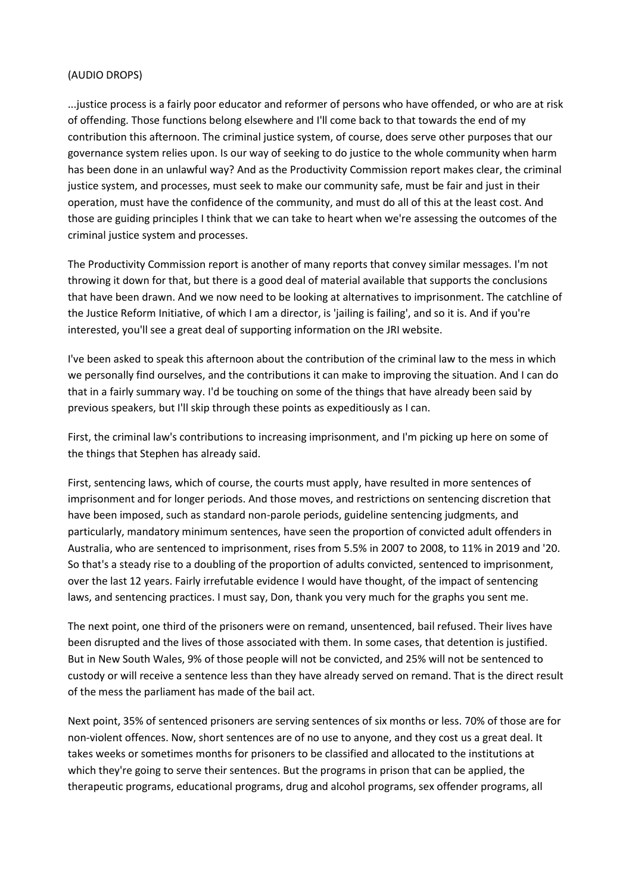#### (AUDIO DROPS)

...justice process is a fairly poor educator and reformer of persons who have offended, or who are at risk of offending. Those functions belong elsewhere and I'll come back to that towards the end of my contribution this afternoon. The criminal justice system, of course, does serve other purposes that our governance system relies upon. Is our way of seeking to do justice to the whole community when harm has been done in an unlawful way? And as the Productivity Commission report makes clear, the criminal justice system, and processes, must seek to make our community safe, must be fair and just in their operation, must have the confidence of the community, and must do all of this at the least cost. And those are guiding principles I think that we can take to heart when we're assessing the outcomes of the criminal justice system and processes.

The Productivity Commission report is another of many reports that convey similar messages. I'm not throwing it down for that, but there is a good deal of material available that supports the conclusions that have been drawn. And we now need to be looking at alternatives to imprisonment. The catchline of the Justice Reform Initiative, of which I am a director, is 'jailing is failing', and so it is. And if you're interested, you'll see a great deal of supporting information on the JRI website.

I've been asked to speak this afternoon about the contribution of the criminal law to the mess in which we personally find ourselves, and the contributions it can make to improving the situation. And I can do that in a fairly summary way. I'd be touching on some of the things that have already been said by previous speakers, but I'll skip through these points as expeditiously as I can.

First, the criminal law's contributions to increasing imprisonment, and I'm picking up here on some of the things that Stephen has already said.

First, sentencing laws, which of course, the courts must apply, have resulted in more sentences of imprisonment and for longer periods. And those moves, and restrictions on sentencing discretion that have been imposed, such as standard non-parole periods, guideline sentencing judgments, and particularly, mandatory minimum sentences, have seen the proportion of convicted adult offenders in Australia, who are sentenced to imprisonment, rises from 5.5% in 2007 to 2008, to 11% in 2019 and '20. So that's a steady rise to a doubling of the proportion of adults convicted, sentenced to imprisonment, over the last 12 years. Fairly irrefutable evidence I would have thought, of the impact of sentencing laws, and sentencing practices. I must say, Don, thank you very much for the graphs you sent me.

The next point, one third of the prisoners were on remand, unsentenced, bail refused. Their lives have been disrupted and the lives of those associated with them. In some cases, that detention is justified. But in New South Wales, 9% of those people will not be convicted, and 25% will not be sentenced to custody or will receive a sentence less than they have already served on remand. That is the direct result of the mess the parliament has made of the bail act.

Next point, 35% of sentenced prisoners are serving sentences of six months or less. 70% of those are for non-violent offences. Now, short sentences are of no use to anyone, and they cost us a great deal. It takes weeks or sometimes months for prisoners to be classified and allocated to the institutions at which they're going to serve their sentences. But the programs in prison that can be applied, the therapeutic programs, educational programs, drug and alcohol programs, sex offender programs, all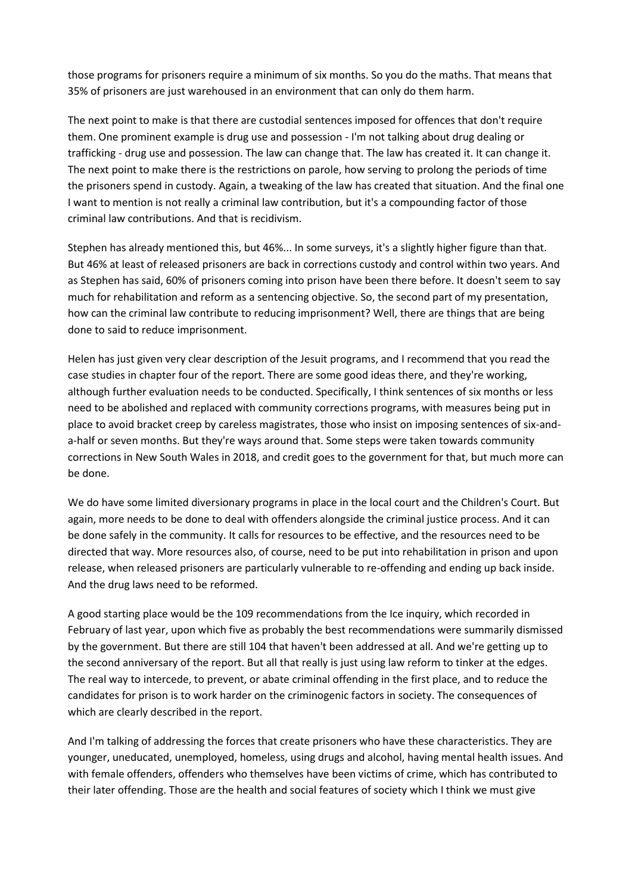those programs for prisoners require a minimum of six months. So you do the maths. That means that 35% of prisoners are just warehoused in an environment that can only do them harm.

The next point to make is that there are custodial sentences imposed for offences that don't require them. One prominent example is drug use and possession - I'm not talking about drug dealing or trafficking - drug use and possession. The law can change that. The law has created it. It can change it. The next point to make there is the restrictions on parole, how serving to prolong the periods of time the prisoners spend in custody. Again, a tweaking of the law has created that situation. And the final one I want to mention is not really a criminal law contribution, but it's a compounding factor of those criminal law contributions. And that is recidivism.

Stephen has already mentioned this, but 46%... In some surveys, it's a slightly higher figure than that. But 46% at least of released prisoners are back in corrections custody and control within two years. And as Stephen has said, 60% of prisoners coming into prison have been there before. It doesn't seem to say much for rehabilitation and reform as a sentencing objective. So, the second part of my presentation, how can the criminal law contribute to reducing imprisonment? Well, there are things that are being done to said to reduce imprisonment.

Helen has just given very clear description of the Jesuit programs, and I recommend that you read the case studies in chapter four of the report. There are some good ideas there, and they're working, although further evaluation needs to be conducted. Specifically, I think sentences of six months or less need to be abolished and replaced with community corrections programs, with measures being put in place to avoid bracket creep by careless magistrates, those who insist on imposing sentences of six-anda-half or seven months. But they're ways around that. Some steps were taken towards community corrections in New South Wales in 2018, and credit goes to the government for that, but much more can be done.

We do have some limited diversionary programs in place in the local court and the Children's Court. But again, more needs to be done to deal with offenders alongside the criminal justice process. And it can be done safely in the community. It calls for resources to be effective, and the resources need to be directed that way. More resources also, of course, need to be put into rehabilitation in prison and upon release, when released prisoners are particularly vulnerable to re-offending and ending up back inside. And the drug laws need to be reformed.

A good starting place would be the 109 recommendations from the Ice inquiry, which recorded in February of last year, upon which five as probably the best recommendations were summarily dismissed by the government. But there are still 104 that haven't been addressed at all. And we're getting up to the second anniversary of the report. But all that really is just using law reform to tinker at the edges. The real way to intercede, to prevent, or abate criminal offending in the first place, and to reduce the candidates for prison is to work harder on the criminogenic factors in society. The consequences of which are clearly described in the report.

And I'm talking of addressing the forces that create prisoners who have these characteristics. They are younger, uneducated, unemployed, homeless, using drugs and alcohol, having mental health issues. And with female offenders, offenders who themselves have been victims of crime, which has contributed to their later offending. Those are the health and social features of society which I think we must give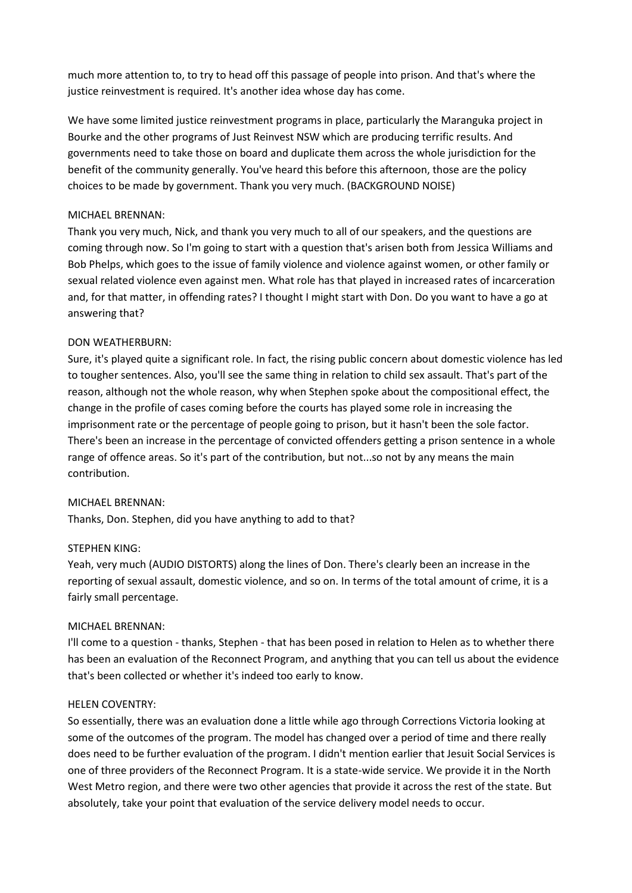much more attention to, to try to head off this passage of people into prison. And that's where the justice reinvestment is required. It's another idea whose day has come.

We have some limited justice reinvestment programs in place, particularly the Maranguka project in Bourke and the other programs of Just Reinvest NSW which are producing terrific results. And governments need to take those on board and duplicate them across the whole jurisdiction for the benefit of the community generally. You've heard this before this afternoon, those are the policy choices to be made by government. Thank you very much. (BACKGROUND NOISE)

#### MICHAEL BRENNAN:

Thank you very much, Nick, and thank you very much to all of our speakers, and the questions are coming through now. So I'm going to start with a question that's arisen both from Jessica Williams and Bob Phelps, which goes to the issue of family violence and violence against women, or other family or sexual related violence even against men. What role has that played in increased rates of incarceration and, for that matter, in offending rates? I thought I might start with Don. Do you want to have a go at answering that?

## DON WEATHERBURN:

Sure, it's played quite a significant role. In fact, the rising public concern about domestic violence has led to tougher sentences. Also, you'll see the same thing in relation to child sex assault. That's part of the reason, although not the whole reason, why when Stephen spoke about the compositional effect, the change in the profile of cases coming before the courts has played some role in increasing the imprisonment rate or the percentage of people going to prison, but it hasn't been the sole factor. There's been an increase in the percentage of convicted offenders getting a prison sentence in a whole range of offence areas. So it's part of the contribution, but not...so not by any means the main contribution.

## MICHAEL BRENNAN:

Thanks, Don. Stephen, did you have anything to add to that?

#### STEPHEN KING:

Yeah, very much (AUDIO DISTORTS) along the lines of Don. There's clearly been an increase in the reporting of sexual assault, domestic violence, and so on. In terms of the total amount of crime, it is a fairly small percentage.

#### MICHAEL BRENNAN:

I'll come to a question - thanks, Stephen - that has been posed in relation to Helen as to whether there has been an evaluation of the Reconnect Program, and anything that you can tell us about the evidence that's been collected or whether it's indeed too early to know.

#### HELEN COVENTRY:

So essentially, there was an evaluation done a little while ago through Corrections Victoria looking at some of the outcomes of the program. The model has changed over a period of time and there really does need to be further evaluation of the program. I didn't mention earlier that Jesuit Social Services is one of three providers of the Reconnect Program. It is a state-wide service. We provide it in the North West Metro region, and there were two other agencies that provide it across the rest of the state. But absolutely, take your point that evaluation of the service delivery model needs to occur.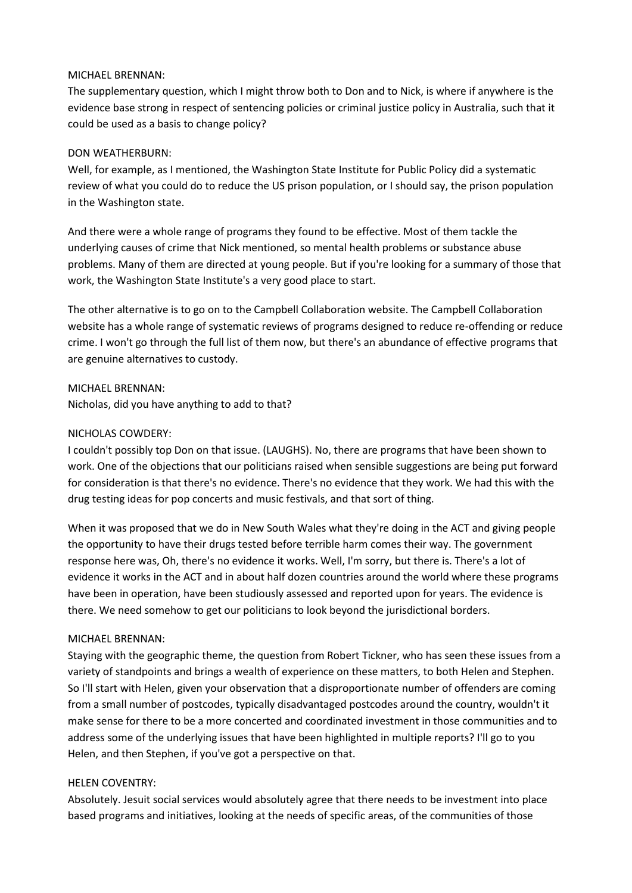#### MICHAEL BRENNAN:

The supplementary question, which I might throw both to Don and to Nick, is where if anywhere is the evidence base strong in respect of sentencing policies or criminal justice policy in Australia, such that it could be used as a basis to change policy?

## DON WEATHERBURN:

Well, for example, as I mentioned, the Washington State Institute for Public Policy did a systematic review of what you could do to reduce the US prison population, or I should say, the prison population in the Washington state.

And there were a whole range of programs they found to be effective. Most of them tackle the underlying causes of crime that Nick mentioned, so mental health problems or substance abuse problems. Many of them are directed at young people. But if you're looking for a summary of those that work, the Washington State Institute's a very good place to start.

The other alternative is to go on to the Campbell Collaboration website. The Campbell Collaboration website has a whole range of systematic reviews of programs designed to reduce re-offending or reduce crime. I won't go through the full list of them now, but there's an abundance of effective programs that are genuine alternatives to custody.

MICHAEL BRENNAN: Nicholas, did you have anything to add to that?

## NICHOLAS COWDERY:

I couldn't possibly top Don on that issue. (LAUGHS). No, there are programs that have been shown to work. One of the objections that our politicians raised when sensible suggestions are being put forward for consideration is that there's no evidence. There's no evidence that they work. We had this with the drug testing ideas for pop concerts and music festivals, and that sort of thing.

When it was proposed that we do in New South Wales what they're doing in the ACT and giving people the opportunity to have their drugs tested before terrible harm comes their way. The government response here was, Oh, there's no evidence it works. Well, I'm sorry, but there is. There's a lot of evidence it works in the ACT and in about half dozen countries around the world where these programs have been in operation, have been studiously assessed and reported upon for years. The evidence is there. We need somehow to get our politicians to look beyond the jurisdictional borders.

## MICHAEL BRENNAN:

Staying with the geographic theme, the question from Robert Tickner, who has seen these issues from a variety of standpoints and brings a wealth of experience on these matters, to both Helen and Stephen. So I'll start with Helen, given your observation that a disproportionate number of offenders are coming from a small number of postcodes, typically disadvantaged postcodes around the country, wouldn't it make sense for there to be a more concerted and coordinated investment in those communities and to address some of the underlying issues that have been highlighted in multiple reports? I'll go to you Helen, and then Stephen, if you've got a perspective on that.

#### HELEN COVENTRY:

Absolutely. Jesuit social services would absolutely agree that there needs to be investment into place based programs and initiatives, looking at the needs of specific areas, of the communities of those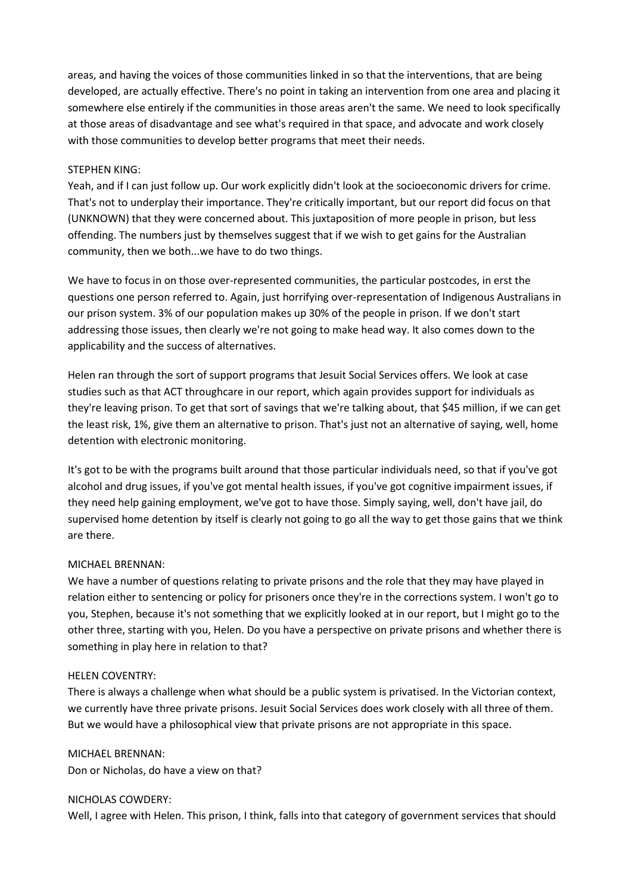areas, and having the voices of those communities linked in so that the interventions, that are being developed, are actually effective. There's no point in taking an intervention from one area and placing it somewhere else entirely if the communities in those areas aren't the same. We need to look specifically at those areas of disadvantage and see what's required in that space, and advocate and work closely with those communities to develop better programs that meet their needs.

#### STEPHEN KING:

Yeah, and if I can just follow up. Our work explicitly didn't look at the socioeconomic drivers for crime. That's not to underplay their importance. They're critically important, but our report did focus on that (UNKNOWN) that they were concerned about. This juxtaposition of more people in prison, but less offending. The numbers just by themselves suggest that if we wish to get gains for the Australian community, then we both...we have to do two things.

We have to focus in on those over-represented communities, the particular postcodes, in erst the questions one person referred to. Again, just horrifying over-representation of Indigenous Australians in our prison system. 3% of our population makes up 30% of the people in prison. If we don't start addressing those issues, then clearly we're not going to make head way. It also comes down to the applicability and the success of alternatives.

Helen ran through the sort of support programs that Jesuit Social Services offers. We look at case studies such as that ACT throughcare in our report, which again provides support for individuals as they're leaving prison. To get that sort of savings that we're talking about, that \$45 million, if we can get the least risk, 1%, give them an alternative to prison. That's just not an alternative of saying, well, home detention with electronic monitoring.

It's got to be with the programs built around that those particular individuals need, so that if you've got alcohol and drug issues, if you've got mental health issues, if you've got cognitive impairment issues, if they need help gaining employment, we've got to have those. Simply saying, well, don't have jail, do supervised home detention by itself is clearly not going to go all the way to get those gains that we think are there.

## MICHAEL BRENNAN:

We have a number of questions relating to private prisons and the role that they may have played in relation either to sentencing or policy for prisoners once they're in the corrections system. I won't go to you, Stephen, because it's not something that we explicitly looked at in our report, but I might go to the other three, starting with you, Helen. Do you have a perspective on private prisons and whether there is something in play here in relation to that?

#### HELEN COVENTRY:

There is always a challenge when what should be a public system is privatised. In the Victorian context, we currently have three private prisons. Jesuit Social Services does work closely with all three of them. But we would have a philosophical view that private prisons are not appropriate in this space.

#### MICHAEL BRENNAN:

Don or Nicholas, do have a view on that?

## NICHOLAS COWDERY:

Well, I agree with Helen. This prison, I think, falls into that category of government services that should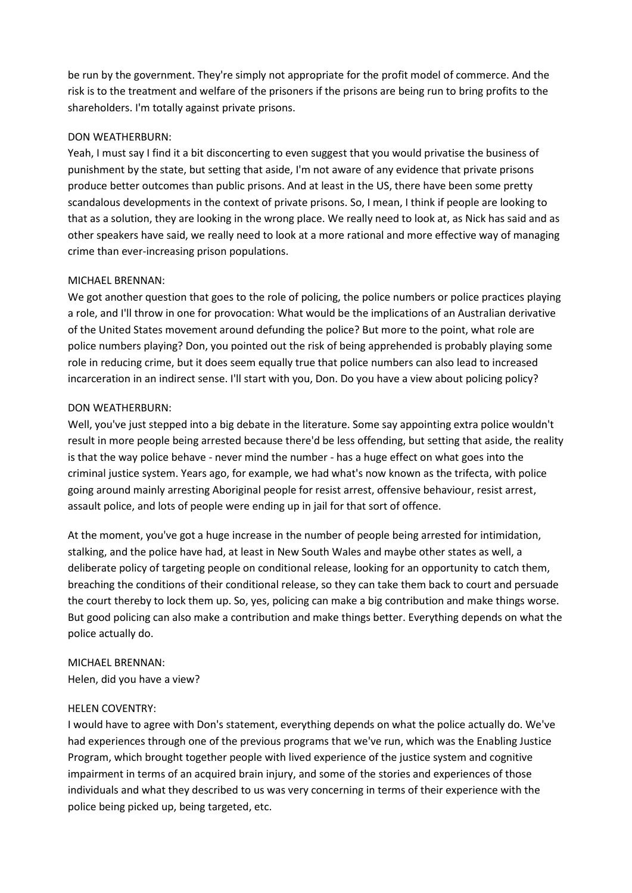be run by the government. They're simply not appropriate for the profit model of commerce. And the risk is to the treatment and welfare of the prisoners if the prisons are being run to bring profits to the shareholders. I'm totally against private prisons.

#### DON WEATHERBURN:

Yeah, I must say I find it a bit disconcerting to even suggest that you would privatise the business of punishment by the state, but setting that aside, I'm not aware of any evidence that private prisons produce better outcomes than public prisons. And at least in the US, there have been some pretty scandalous developments in the context of private prisons. So, I mean, I think if people are looking to that as a solution, they are looking in the wrong place. We really need to look at, as Nick has said and as other speakers have said, we really need to look at a more rational and more effective way of managing crime than ever-increasing prison populations.

## MICHAEL BRENNAN:

We got another question that goes to the role of policing, the police numbers or police practices playing a role, and I'll throw in one for provocation: What would be the implications of an Australian derivative of the United States movement around defunding the police? But more to the point, what role are police numbers playing? Don, you pointed out the risk of being apprehended is probably playing some role in reducing crime, but it does seem equally true that police numbers can also lead to increased incarceration in an indirect sense. I'll start with you, Don. Do you have a view about policing policy?

## DON WEATHERBURN:

Well, you've just stepped into a big debate in the literature. Some say appointing extra police wouldn't result in more people being arrested because there'd be less offending, but setting that aside, the reality is that the way police behave - never mind the number - has a huge effect on what goes into the criminal justice system. Years ago, for example, we had what's now known as the trifecta, with police going around mainly arresting Aboriginal people for resist arrest, offensive behaviour, resist arrest, assault police, and lots of people were ending up in jail for that sort of offence.

At the moment, you've got a huge increase in the number of people being arrested for intimidation, stalking, and the police have had, at least in New South Wales and maybe other states as well, a deliberate policy of targeting people on conditional release, looking for an opportunity to catch them, breaching the conditions of their conditional release, so they can take them back to court and persuade the court thereby to lock them up. So, yes, policing can make a big contribution and make things worse. But good policing can also make a contribution and make things better. Everything depends on what the police actually do.

# MICHAEL BRENNAN:

Helen, did you have a view?

## HELEN COVENTRY:

I would have to agree with Don's statement, everything depends on what the police actually do. We've had experiences through one of the previous programs that we've run, which was the Enabling Justice Program, which brought together people with lived experience of the justice system and cognitive impairment in terms of an acquired brain injury, and some of the stories and experiences of those individuals and what they described to us was very concerning in terms of their experience with the police being picked up, being targeted, etc.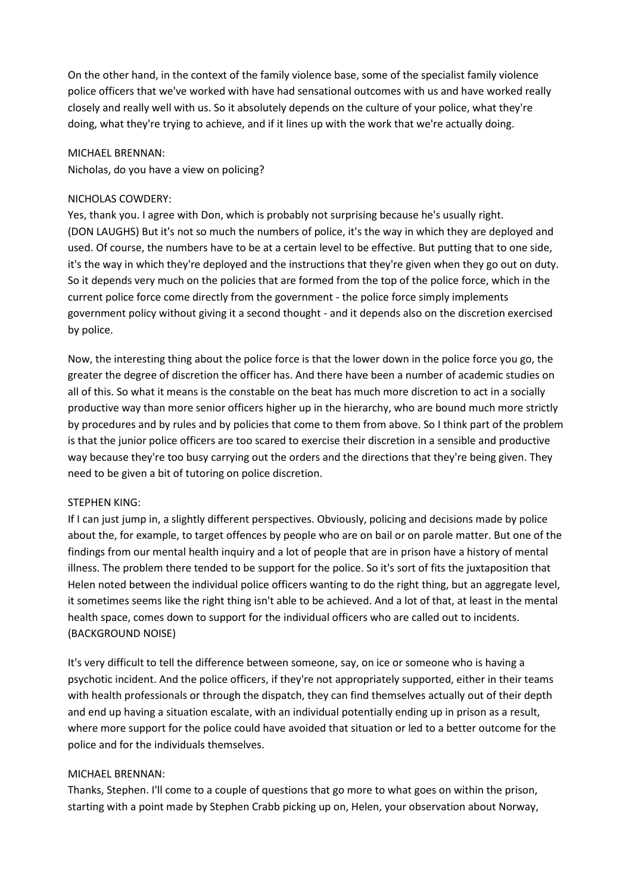On the other hand, in the context of the family violence base, some of the specialist family violence police officers that we've worked with have had sensational outcomes with us and have worked really closely and really well with us. So it absolutely depends on the culture of your police, what they're doing, what they're trying to achieve, and if it lines up with the work that we're actually doing.

#### MICHAEL BRENNAN:

Nicholas, do you have a view on policing?

#### NICHOLAS COWDERY:

Yes, thank you. I agree with Don, which is probably not surprising because he's usually right. (DON LAUGHS) But it's not so much the numbers of police, it's the way in which they are deployed and used. Of course, the numbers have to be at a certain level to be effective. But putting that to one side, it's the way in which they're deployed and the instructions that they're given when they go out on duty. So it depends very much on the policies that are formed from the top of the police force, which in the current police force come directly from the government - the police force simply implements government policy without giving it a second thought - and it depends also on the discretion exercised by police.

Now, the interesting thing about the police force is that the lower down in the police force you go, the greater the degree of discretion the officer has. And there have been a number of academic studies on all of this. So what it means is the constable on the beat has much more discretion to act in a socially productive way than more senior officers higher up in the hierarchy, who are bound much more strictly by procedures and by rules and by policies that come to them from above. So I think part of the problem is that the junior police officers are too scared to exercise their discretion in a sensible and productive way because they're too busy carrying out the orders and the directions that they're being given. They need to be given a bit of tutoring on police discretion.

#### STEPHEN KING:

If I can just jump in, a slightly different perspectives. Obviously, policing and decisions made by police about the, for example, to target offences by people who are on bail or on parole matter. But one of the findings from our mental health inquiry and a lot of people that are in prison have a history of mental illness. The problem there tended to be support for the police. So it's sort of fits the juxtaposition that Helen noted between the individual police officers wanting to do the right thing, but an aggregate level, it sometimes seems like the right thing isn't able to be achieved. And a lot of that, at least in the mental health space, comes down to support for the individual officers who are called out to incidents. (BACKGROUND NOISE)

It's very difficult to tell the difference between someone, say, on ice or someone who is having a psychotic incident. And the police officers, if they're not appropriately supported, either in their teams with health professionals or through the dispatch, they can find themselves actually out of their depth and end up having a situation escalate, with an individual potentially ending up in prison as a result, where more support for the police could have avoided that situation or led to a better outcome for the police and for the individuals themselves.

#### MICHAEL BRENNAN:

Thanks, Stephen. I'll come to a couple of questions that go more to what goes on within the prison, starting with a point made by Stephen Crabb picking up on, Helen, your observation about Norway,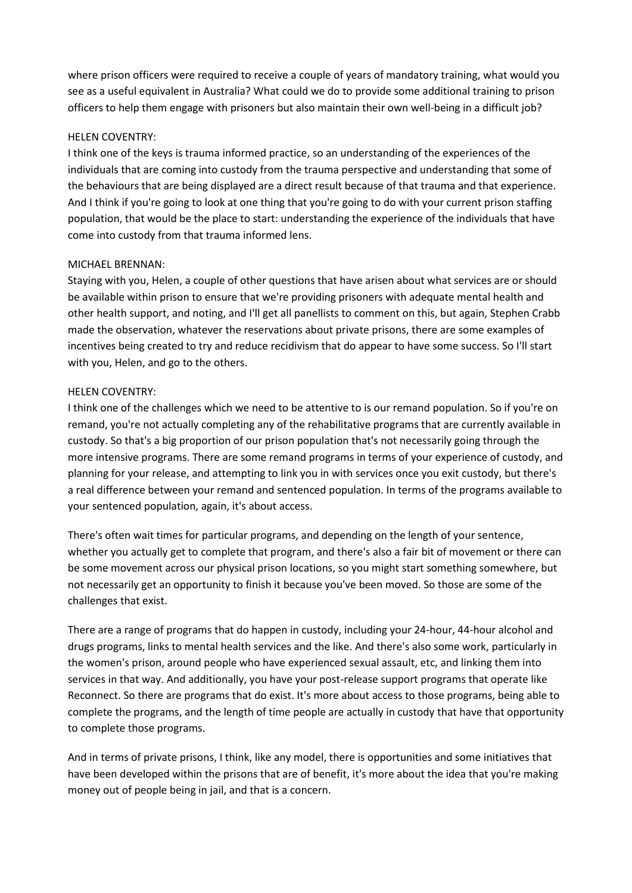where prison officers were required to receive a couple of years of mandatory training, what would you see as a useful equivalent in Australia? What could we do to provide some additional training to prison officers to help them engage with prisoners but also maintain their own well-being in a difficult job?

#### HELEN COVENTRY:

I think one of the keys is trauma informed practice, so an understanding of the experiences of the individuals that are coming into custody from the trauma perspective and understanding that some of the behaviours that are being displayed are a direct result because of that trauma and that experience. And I think if you're going to look at one thing that you're going to do with your current prison staffing population, that would be the place to start: understanding the experience of the individuals that have come into custody from that trauma informed lens.

## MICHAEL BRENNAN:

Staying with you, Helen, a couple of other questions that have arisen about what services are or should be available within prison to ensure that we're providing prisoners with adequate mental health and other health support, and noting, and I'll get all panellists to comment on this, but again, Stephen Crabb made the observation, whatever the reservations about private prisons, there are some examples of incentives being created to try and reduce recidivism that do appear to have some success. So I'll start with you, Helen, and go to the others.

## HELEN COVENTRY:

I think one of the challenges which we need to be attentive to is our remand population. So if you're on remand, you're not actually completing any of the rehabilitative programs that are currently available in custody. So that's a big proportion of our prison population that's not necessarily going through the more intensive programs. There are some remand programs in terms of your experience of custody, and planning for your release, and attempting to link you in with services once you exit custody, but there's a real difference between your remand and sentenced population. In terms of the programs available to your sentenced population, again, it's about access.

There's often wait times for particular programs, and depending on the length of your sentence, whether you actually get to complete that program, and there's also a fair bit of movement or there can be some movement across our physical prison locations, so you might start something somewhere, but not necessarily get an opportunity to finish it because you've been moved. So those are some of the challenges that exist.

There are a range of programs that do happen in custody, including your 24-hour, 44-hour alcohol and drugs programs, links to mental health services and the like. And there's also some work, particularly in the women's prison, around people who have experienced sexual assault, etc, and linking them into services in that way. And additionally, you have your post-release support programs that operate like Reconnect. So there are programs that do exist. It's more about access to those programs, being able to complete the programs, and the length of time people are actually in custody that have that opportunity to complete those programs.

And in terms of private prisons, I think, like any model, there is opportunities and some initiatives that have been developed within the prisons that are of benefit, it's more about the idea that you're making money out of people being in jail, and that is a concern.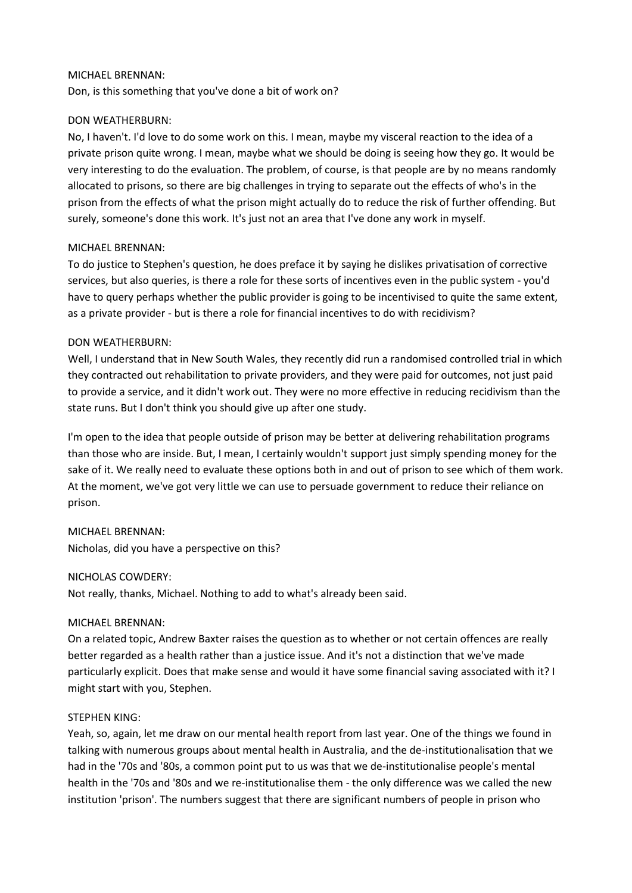#### MICHAEL BRENNAN:

Don, is this something that you've done a bit of work on?

## DON WEATHERBURN:

No, I haven't. I'd love to do some work on this. I mean, maybe my visceral reaction to the idea of a private prison quite wrong. I mean, maybe what we should be doing is seeing how they go. It would be very interesting to do the evaluation. The problem, of course, is that people are by no means randomly allocated to prisons, so there are big challenges in trying to separate out the effects of who's in the prison from the effects of what the prison might actually do to reduce the risk of further offending. But surely, someone's done this work. It's just not an area that I've done any work in myself.

## MICHAEL BRENNAN:

To do justice to Stephen's question, he does preface it by saying he dislikes privatisation of corrective services, but also queries, is there a role for these sorts of incentives even in the public system - you'd have to query perhaps whether the public provider is going to be incentivised to quite the same extent, as a private provider - but is there a role for financial incentives to do with recidivism?

## DON WEATHERBURN:

Well, I understand that in New South Wales, they recently did run a randomised controlled trial in which they contracted out rehabilitation to private providers, and they were paid for outcomes, not just paid to provide a service, and it didn't work out. They were no more effective in reducing recidivism than the state runs. But I don't think you should give up after one study.

I'm open to the idea that people outside of prison may be better at delivering rehabilitation programs than those who are inside. But, I mean, I certainly wouldn't support just simply spending money for the sake of it. We really need to evaluate these options both in and out of prison to see which of them work. At the moment, we've got very little we can use to persuade government to reduce their reliance on prison.

## MICHAEL BRENNAN:

Nicholas, did you have a perspective on this?

#### NICHOLAS COWDERY:

Not really, thanks, Michael. Nothing to add to what's already been said.

#### MICHAEL BRENNAN:

On a related topic, Andrew Baxter raises the question as to whether or not certain offences are really better regarded as a health rather than a justice issue. And it's not a distinction that we've made particularly explicit. Does that make sense and would it have some financial saving associated with it? I might start with you, Stephen.

#### STEPHEN KING:

Yeah, so, again, let me draw on our mental health report from last year. One of the things we found in talking with numerous groups about mental health in Australia, and the de-institutionalisation that we had in the '70s and '80s, a common point put to us was that we de-institutionalise people's mental health in the '70s and '80s and we re-institutionalise them - the only difference was we called the new institution 'prison'. The numbers suggest that there are significant numbers of people in prison who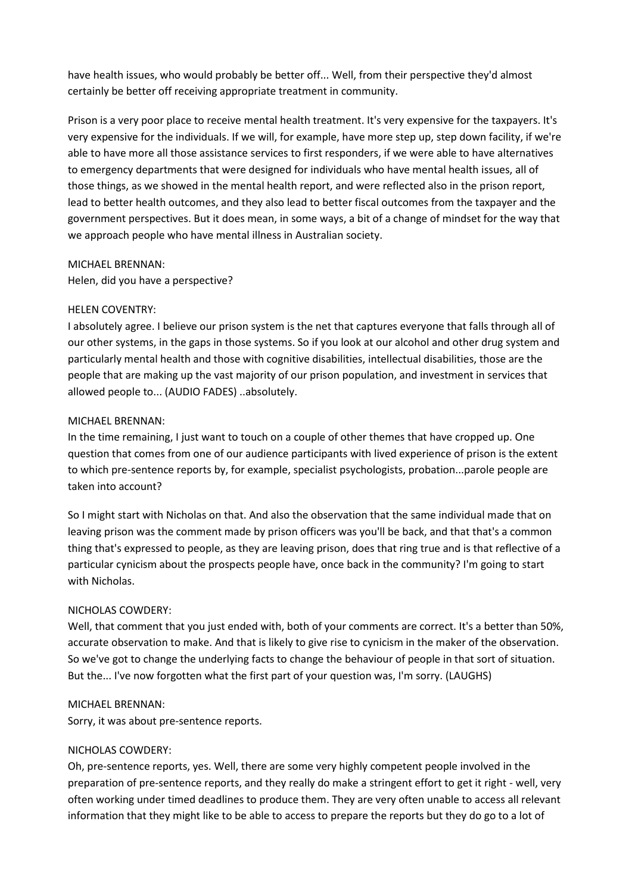have health issues, who would probably be better off... Well, from their perspective they'd almost certainly be better off receiving appropriate treatment in community.

Prison is a very poor place to receive mental health treatment. It's very expensive for the taxpayers. It's very expensive for the individuals. If we will, for example, have more step up, step down facility, if we're able to have more all those assistance services to first responders, if we were able to have alternatives to emergency departments that were designed for individuals who have mental health issues, all of those things, as we showed in the mental health report, and were reflected also in the prison report, lead to better health outcomes, and they also lead to better fiscal outcomes from the taxpayer and the government perspectives. But it does mean, in some ways, a bit of a change of mindset for the way that we approach people who have mental illness in Australian society.

#### MICHAEL BRENNAN:

Helen, did you have a perspective?

#### HELEN COVENTRY:

I absolutely agree. I believe our prison system is the net that captures everyone that falls through all of our other systems, in the gaps in those systems. So if you look at our alcohol and other drug system and particularly mental health and those with cognitive disabilities, intellectual disabilities, those are the people that are making up the vast majority of our prison population, and investment in services that allowed people to... (AUDIO FADES) ..absolutely.

#### MICHAEL BRENNAN:

In the time remaining, I just want to touch on a couple of other themes that have cropped up. One question that comes from one of our audience participants with lived experience of prison is the extent to which pre-sentence reports by, for example, specialist psychologists, probation...parole people are taken into account?

So I might start with Nicholas on that. And also the observation that the same individual made that on leaving prison was the comment made by prison officers was you'll be back, and that that's a common thing that's expressed to people, as they are leaving prison, does that ring true and is that reflective of a particular cynicism about the prospects people have, once back in the community? I'm going to start with Nicholas.

#### NICHOLAS COWDERY:

Well, that comment that you just ended with, both of your comments are correct. It's a better than 50%, accurate observation to make. And that is likely to give rise to cynicism in the maker of the observation. So we've got to change the underlying facts to change the behaviour of people in that sort of situation. But the... I've now forgotten what the first part of your question was, I'm sorry. (LAUGHS)

#### MICHAEL BRENNAN:

Sorry, it was about pre-sentence reports.

#### NICHOLAS COWDERY:

Oh, pre-sentence reports, yes. Well, there are some very highly competent people involved in the preparation of pre-sentence reports, and they really do make a stringent effort to get it right - well, very often working under timed deadlines to produce them. They are very often unable to access all relevant information that they might like to be able to access to prepare the reports but they do go to a lot of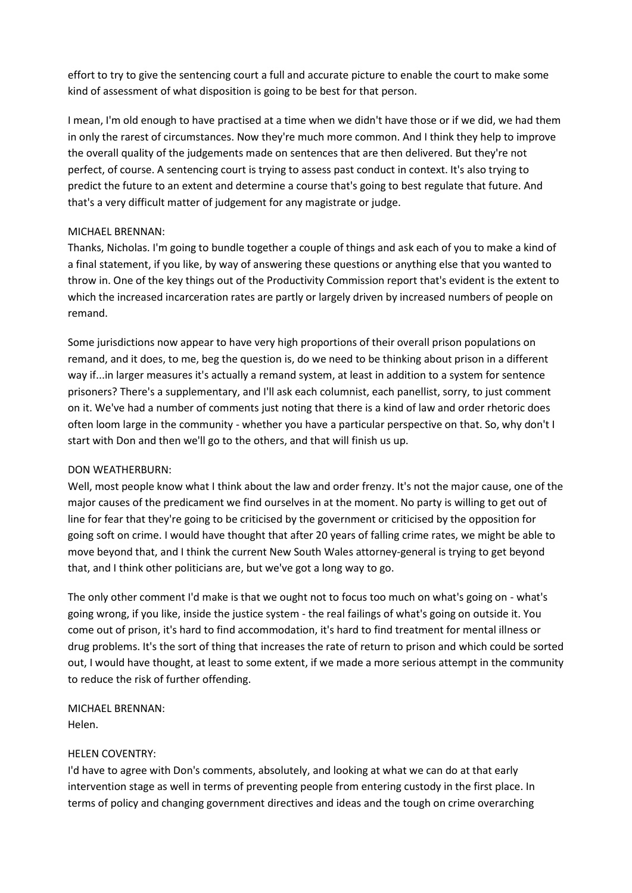effort to try to give the sentencing court a full and accurate picture to enable the court to make some kind of assessment of what disposition is going to be best for that person.

I mean, I'm old enough to have practised at a time when we didn't have those or if we did, we had them in only the rarest of circumstances. Now they're much more common. And I think they help to improve the overall quality of the judgements made on sentences that are then delivered. But they're not perfect, of course. A sentencing court is trying to assess past conduct in context. It's also trying to predict the future to an extent and determine a course that's going to best regulate that future. And that's a very difficult matter of judgement for any magistrate or judge.

## MICHAEL BRENNAN:

Thanks, Nicholas. I'm going to bundle together a couple of things and ask each of you to make a kind of a final statement, if you like, by way of answering these questions or anything else that you wanted to throw in. One of the key things out of the Productivity Commission report that's evident is the extent to which the increased incarceration rates are partly or largely driven by increased numbers of people on remand.

Some jurisdictions now appear to have very high proportions of their overall prison populations on remand, and it does, to me, beg the question is, do we need to be thinking about prison in a different way if...in larger measures it's actually a remand system, at least in addition to a system for sentence prisoners? There's a supplementary, and I'll ask each columnist, each panellist, sorry, to just comment on it. We've had a number of comments just noting that there is a kind of law and order rhetoric does often loom large in the community - whether you have a particular perspective on that. So, why don't I start with Don and then we'll go to the others, and that will finish us up.

#### DON WEATHERBURN:

Well, most people know what I think about the law and order frenzy. It's not the major cause, one of the major causes of the predicament we find ourselves in at the moment. No party is willing to get out of line for fear that they're going to be criticised by the government or criticised by the opposition for going soft on crime. I would have thought that after 20 years of falling crime rates, we might be able to move beyond that, and I think the current New South Wales attorney-general is trying to get beyond that, and I think other politicians are, but we've got a long way to go.

The only other comment I'd make is that we ought not to focus too much on what's going on - what's going wrong, if you like, inside the justice system - the real failings of what's going on outside it. You come out of prison, it's hard to find accommodation, it's hard to find treatment for mental illness or drug problems. It's the sort of thing that increases the rate of return to prison and which could be sorted out, I would have thought, at least to some extent, if we made a more serious attempt in the community to reduce the risk of further offending.

MICHAEL BRENNAN: Helen.

#### HELEN COVENTRY:

I'd have to agree with Don's comments, absolutely, and looking at what we can do at that early intervention stage as well in terms of preventing people from entering custody in the first place. In terms of policy and changing government directives and ideas and the tough on crime overarching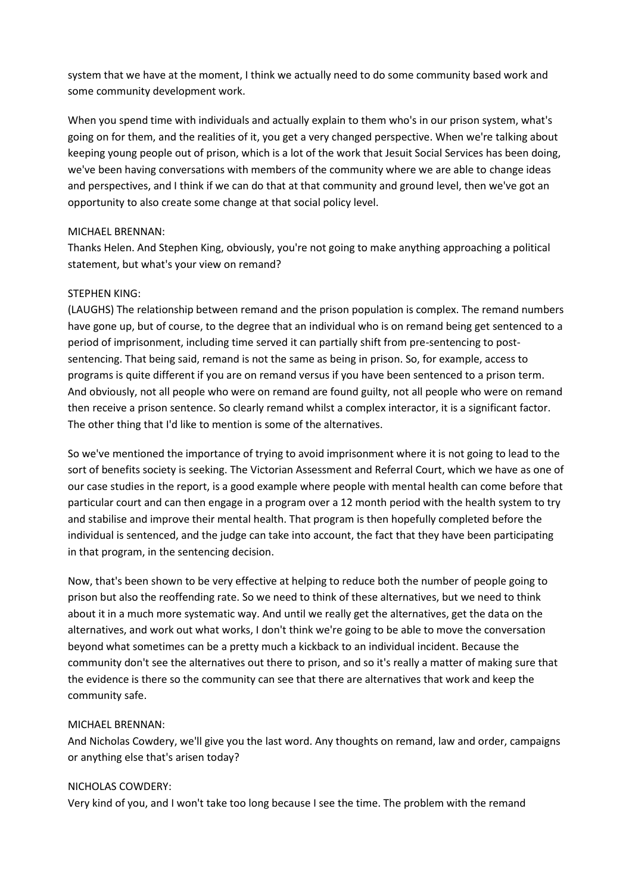system that we have at the moment, I think we actually need to do some community based work and some community development work.

When you spend time with individuals and actually explain to them who's in our prison system, what's going on for them, and the realities of it, you get a very changed perspective. When we're talking about keeping young people out of prison, which is a lot of the work that Jesuit Social Services has been doing, we've been having conversations with members of the community where we are able to change ideas and perspectives, and I think if we can do that at that community and ground level, then we've got an opportunity to also create some change at that social policy level.

## MICHAEL BRENNAN:

Thanks Helen. And Stephen King, obviously, you're not going to make anything approaching a political statement, but what's your view on remand?

## STEPHEN KING:

(LAUGHS) The relationship between remand and the prison population is complex. The remand numbers have gone up, but of course, to the degree that an individual who is on remand being get sentenced to a period of imprisonment, including time served it can partially shift from pre-sentencing to postsentencing. That being said, remand is not the same as being in prison. So, for example, access to programs is quite different if you are on remand versus if you have been sentenced to a prison term. And obviously, not all people who were on remand are found guilty, not all people who were on remand then receive a prison sentence. So clearly remand whilst a complex interactor, it is a significant factor. The other thing that I'd like to mention is some of the alternatives.

So we've mentioned the importance of trying to avoid imprisonment where it is not going to lead to the sort of benefits society is seeking. The Victorian Assessment and Referral Court, which we have as one of our case studies in the report, is a good example where people with mental health can come before that particular court and can then engage in a program over a 12 month period with the health system to try and stabilise and improve their mental health. That program is then hopefully completed before the individual is sentenced, and the judge can take into account, the fact that they have been participating in that program, in the sentencing decision.

Now, that's been shown to be very effective at helping to reduce both the number of people going to prison but also the reoffending rate. So we need to think of these alternatives, but we need to think about it in a much more systematic way. And until we really get the alternatives, get the data on the alternatives, and work out what works, I don't think we're going to be able to move the conversation beyond what sometimes can be a pretty much a kickback to an individual incident. Because the community don't see the alternatives out there to prison, and so it's really a matter of making sure that the evidence is there so the community can see that there are alternatives that work and keep the community safe.

#### MICHAEL BRENNAN:

And Nicholas Cowdery, we'll give you the last word. Any thoughts on remand, law and order, campaigns or anything else that's arisen today?

#### NICHOLAS COWDERY:

Very kind of you, and I won't take too long because I see the time. The problem with the remand